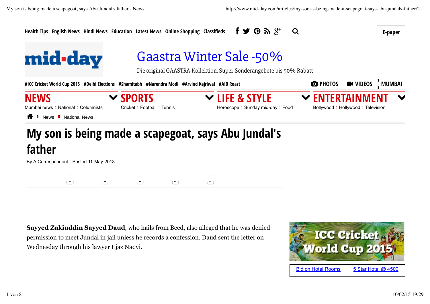

By A Correspondent | Posted 11-May-2013

2 0 0 0 0

**Sayyed Zakiuddin Sayyed Daud**, who hails from Beed, also alleged that he was denied permission to meet Jundal in jail unless he records a confession. Daud sent the letter on Wednesday through his lawyer Ejaz Naqvi.

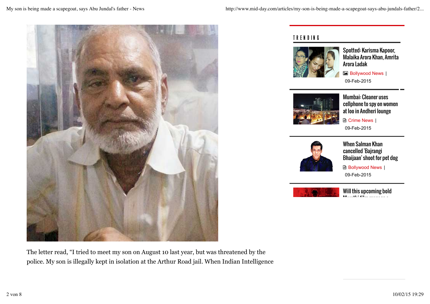

The letter read, "I tried to meet my son on August 10 last year, but was threatened by the police. My son is illegally kept in isolation at the Arthur Road jail. When Indian Intelligence

## TR EN D IN G



Spotted: Karisma Kapoor, Malaika Arora Khan, Amrita Arora Ladak

 $\blacksquare$  Bollywood News | 09-Feb-2015



Mumbai: Cleaner uses cellphone to spy on women at loo in Andheri lounge

**A** Crime News | 09-Feb-2015



When Salman Khan cancelled 'Bajrangi Bhaijaan' shoot for pet dog

**B** Bollywood News | 09-Feb-2015



Will this upcoming bold  $M_{\odot}$ m. ma $_{\odot}$  film manage as a